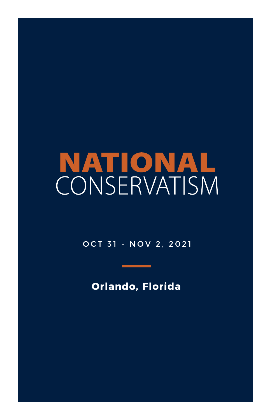# NATIONAL

OCT 31 - NOV 2, 2021

**Orlando, Florida**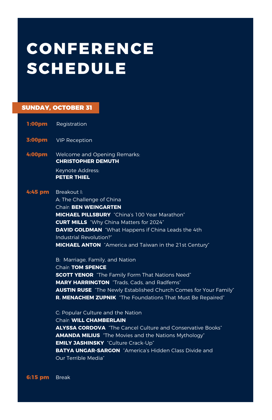# **CONFERENCE SCHEDULE**

# SUNDAY, OCTOBER 31

**1:00pm 3:00pm** Registration VIP Reception **4:00pm** Welcome and Opening Remarks: **CHRISTOPHER DEMUTH** Keynote Address: **PETER THIEL 4:45 pm** Breakout I: A: The Challenge of China

Chair: **BEN WEINGARTEN MICHAEL PILLSBURY** "China's 100 Year Marathon" **CURT MILLS** "Why China Matters for 2024" **DAVID GOLDMAN** "What Happens if China Leads the 4th Industrial Revolution?" **MICHAEL ANTON** "America and Taiwan in the 21st Century"

B: Marriage, Family, and Nation Chair: **TOM SPENCE SCOTT YENOR** "The Family Form That Nations Need" **MARY HARRINGTON** "Trads, Cads, and Radfems" **AUSTIN RUSE** "The Newly Established Church Comes for Your Family" **R. MENACHEM ZUPNIK** "The Foundations That Must Be Repaired"

C: Popular Culture and the Nation Chair: **WILL CHAMBERLAIN ALYSSA CORDOVA** "The Cancel Culture and Conservative Books" **AMANDA MILIUS** "The Movies and the Nations Mythology" **EMILY JASHINSKY** "Culture Crack-Up" **BATYA UNGAR-SARGON** "America's Hidden Class Divide and Our Terrible Media"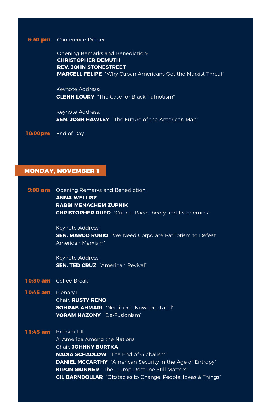#### **6:30 pm** Conference Dinner

Opening Remarks and Benediction: **CHRISTOPHER DEMUTH REV. JOHN STONESTREET MARCELL FELIPE** "Why Cuban Americans Get the Marxist Threat"

Keynote Address: **GLENN LOURY** "The Case for Black Patriotism"

Keynote Address: **SEN. JOSH HAWLEY** "The Future of the American Man"

**10:00pm** End of Day 1

# MONDAY, NOVEMBER 1

**9:00 am** Opening Remarks and Benediction: **ANNA WELLISZ RABBI MENACHEM ZUPNIK CHRISTOPHER RUFO** "Critical Race Theory and Its Enemies"

#### Keynote Address:

**SEN. MARCO RUBIO** "We Need Corporate Patriotism to Defeat American Marxism"

Keynote Address: **SEN. TED CRUZ** "American Revival"

#### **10:30 am** Coffee Break

**10:45 am** Plenary I

Chair: **RUSTY RENO SOHRAB AHMARI** "Neoliberal Nowhere-Land" **YORAM HAZONY** "De-Fusionism"

#### **11:45 am** Breakout II

A: America Among the Nations Chair: **JOHNNY BURTKA NADIA SCHADLOW** "The End of Globalism" **DANIEL MCCARTHY** "American Security in the Age of Entropy" **KIRON SKINNER** "The Trump Doctrine Still Matters" **GIL BARNDOLLAR** "Obstacles to Change: People, Ideas & Things"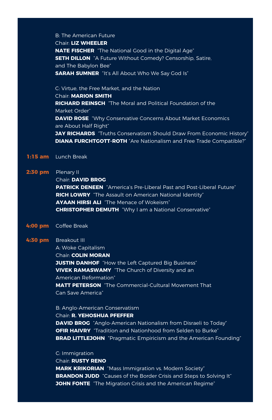B: The American Future Chair: **LIZ WHEELER NATE FISCHER** "The National Good in the Digital Age" **SETH DILLON** "A Future Without Comedy? Censorship, Satire, and The Babylon Bee" **SARAH SUMNER** "It's All About Who We Say God Is"

C: Virtue, the Free Market, and the Nation Chair: **MARION SMITH RICHARD REINSCH** "The Moral and Political Foundation of the Market Order" **DAVID ROSE** "Why Conservative Concerns About Market Economics are About Half Right" **JAY RICHARDS** "Truths Conservatism Should Draw From Economic History" **DIANA FURCHTGOTT-ROTH** "Are Nationalism and Free Trade Compatible?"

## **1:15 am** Lunch Break

#### 2:30 pm Plenary II

#### Chair: **DAVID BROG**

**PATRICK DENEEN** "America's Pre-Liberal Past and Post-Liberal Future" **RICH LOWRY** "The Assault on American National Identity" **AYAAN HIRSI ALI** "The Menace of Wokeism" **CHRISTOPHER DEMUTH** "Why I am a National Conservative"

#### **4:00 pm** Coffee Break

#### **4:30 pm** Breakout III

 American Reformation" A: Woke Capitalism Chair: **COLIN MORAN JUSTIN DANHOF** "How the Left Captured Big Business" **VIVEK RAMASWAMY** "The Church of Diversity and an **MATT PETERSON** "The Commercial-Cultural Movement That Can Save America"

#### B: Anglo-American Conservatism

#### Chair: **R. YEHOSHUA PFEFFER**

**DAVID BROG** "Anglo-American Nationalism from Disraeli to Today" **OFIR HAIVRY** "Tradition and Nationhood from Selden to Burke" **BRAD LITTLEJOHN** "Pragmatic Empiricism and the American Founding"

#### C: Immigration

#### Chair: **RUSTY RENO**

**MARK KRIKORIAN** "Mass Immigration vs. Modern Society" **BRANDON JUDD** "Causes of the Border Crisis and Steps to Solving It" **JOHN FONTE** "The Migration Crisis and the American Regime"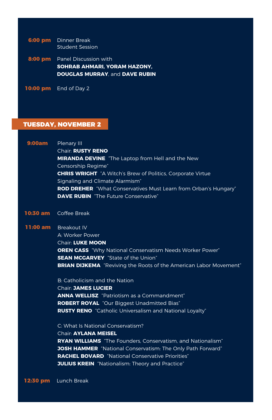**6:00 pm** Dinner Break Student Session

**8:00 pm** Panel Discussion with **SOHRAB AHMARI, YORAM HAZONY, DOUGLAS MURRAY**, and **DAVE RUBIN**

**10:00 pm** End of Day 2

### TUESDAY, NOVEMBER 2

**9:00am** Plenary III

Chair: **RUSTY RENO MIRANDA DEVINE** "The Laptop from Hell and the New Censorship Regime" **CHRIS WRIGHT** "A Witch's Brew of Politics, Corporate Virtue Signaling and Climate Alarmism" **ROD DREHER** "What Conservatives Must Learn from Orban's Hungary" **DAVE RUBIN** "The Future Conservative"

**10:30 am** Coffee Break

Breakout IV **11:00 am**

> A: Worker Power Chair: **LUKE MOON OREN CASS** "Why National Conservatism Needs Worker Power" **SEAN MCGARVEY** "State of the Union" **BRIAN DIJKEMA** "Reviving the Roots of the American Labor Movement"

B: Catholicism and the Nation Chair: **JAMES LUCIER ANNA WELLISZ** "Patriotism as a Commandment" **ROBERT ROYAL** "Our Biggest Unadmitted Bias" **RUSTY RENO** "Catholic Universalism and National Loyalty"

C: What Is National Conservatism? Chair: **AYLANA MEISEL RYAN WILLIAMS** "The Founders, Conservatism, and Nationalism" **JOSH HAMMER** "National Conservatism: The Only Path Forward" **RACHEL BOVARD** "National Conservative Priorities" **JULIUS KREIN** "Nationalism: Theory and Practice"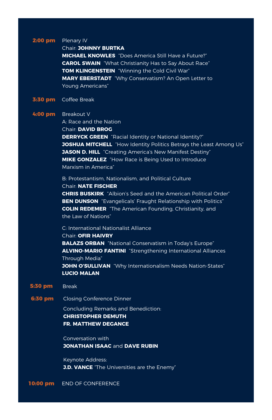#### **2:00 pm** Plenary IV

Chair: **JOHNNY BURTKA**

**MICHAEL KNOWLES** "Does America Still Have a Future?" **CAROL SWAIN** "What Christianity Has to Say About Race" **TOM KLINGENSTEIN** "Winning the Cold Civil War" **MARY EBERSTADT** "Why Conservatism? An Open Letter to Young Americans"

#### **3:30 pm** Coffee Break

#### **4:00 pm** Breakout V

A: Race and the Nation Chair: **DAVID BROG DERRYCK GREEN** "Racial Identity or National Identity?" **JOSHUA MITCHELL** "How Identity Politics Betrays the Least Among Us" **JASON D. HILL** "Creating America's New Manifest Destiny" **MIKE GONZALEZ** "How Race is Being Used to Introduce Marxism in America"

B: Protestantism, Nationalism, and Political Culture Chair: **NATE FISCHER CHRIS BUSKIRK** "Albion's Seed and the American Political Order" **BEN DUNSON** "Evangelicals' Fraught Relationship with Politics" **COLIN REDEMER** "The American Founding, Christianity, and the Law of Nations"

#### C: International Nationalist Alliance

Chair: **OFIR HAIVRY BALAZS ORBAN** "National Conservatism in Today's Europe" **ALVINO-MARIO FANTINI** "Strengthening International Alliances Through Media" **JOHN O'SULLIVAN** "Why Internationalism Needs Nation-States" **LUCIO MALAN**

# **5:30 pm** Break

**6:30 pm** Closing Conference Dinner

Concluding Remarks and Benediction: **CHRISTOPHER DEMUTH FR. MATTHEW DEGANCE**

**JONATHAN ISAAC** and **DAVE RUBIN**

Keynote Address: **J.D. VANCE** "The Universities are the Enemy"

#### **10:00 pm** END OF CONFERENCE

Conversation with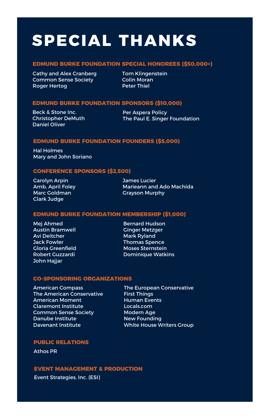# **SPECIAL THANKS**

#### **EDMUND BURKE FOUNDATION SPECIAL HONOREES (\$50,000+)**

Cathy and Alex Cranberg Common Sense Society Roger Hertog

Tom Klingenstein Colin Moran Peter Thiel

#### **EDMUND BURKE FOUNDATION SPONSORS (\$10,000)**

Beck & Stone Inc. Christopher DeMuth Daniel Oliver

Per Aspera Policy The Paul E. Singer Foundation

#### **EDMUND BURKE FOUNDATION FOUNDERS (\$5,000)**

Hal Holmes Mary and John Soriano

#### **CONFERENCE SPONSORS (\$2,500)**

Carolyn Arpin Amb. April Foley Marc Goldman Clark Judge

James Lucier Marieann and Ado Machida Grayson Murphy

#### **EDMUND BURKE FOUNDATION MEMBERSHIP (\$1,000)**

Mej Ahmed Austin Bramwell Avi Deitcher Jack Fowler Gloria Greenfield Robert Guzzardi John Haijar

Bernard Hudson Ginger Metzger Mark Ryland Thomas Spence Moses Sternstein Dominique Watkins

#### **CO-SPONSORING ORGANIZATIONS**

American Compass The American Conservative American Moment Claremont Institute Common Sense Society Danube Institute Davenant Institute

The European Conservative First Things Human Events Locals.com Modern Age New Founding White House Writers Group

#### **PUBLIC RELATIONS**

Athos PR

# **EVENT MANAGEMENT & PRODUCTION**

Event Strategies, Inc. (ESI)